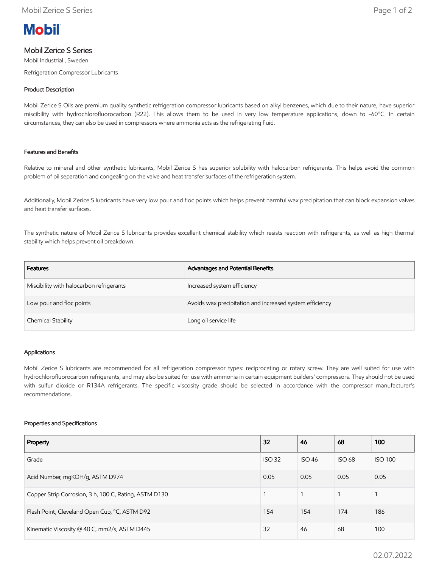

# Mobil Zerice S Series

Mobil Industrial , Sweden

Refrigeration Compressor Lubricants

# Product Description

Mobil Zerice S Oils are premium quality synthetic refrigeration compressor lubricants based on alkyl benzenes, which due to their nature, have superior miscibility with hydrochlorofluorocarbon (R22). This allows them to be used in very low temperature applications, down to -60°C. In certain circumstances, they can also be used in compressors where ammonia acts as the refrigerating fluid.

## Features and Benefits

Relative to mineral and other synthetic lubricants, Mobil Zerice S has superior solubility with halocarbon refrigerants. This helps avoid the common problem of oil separation and congealing on the valve and heat transfer surfaces of the refrigeration system.

Additionally, Mobil Zerice S lubricants have very low pour and floc points which helps prevent harmful wax precipitation that can block expansion valves and heat transfer surfaces.

The synthetic nature of Mobil Zerice S lubricants provides excellent chemical stability which resists reaction with refrigerants, as well as high thermal stability which helps prevent oil breakdown.

| <b>Features</b>                          | Advantages and Potential Benefits                        |
|------------------------------------------|----------------------------------------------------------|
| Miscibility with halocarbon refrigerants | Increased system efficiency                              |
| Low pour and floc points                 | Avoids wax precipitation and increased system efficiency |
| Chemical Stability                       | Long oil service life                                    |

#### Applications

Mobil Zerice S lubricants are recommended for all refrigeration compressor types: reciprocating or rotary screw. They are well suited for use with hydrochlorofluorocarbon refrigerants, and may also be suited for use with ammonia in certain equipment builders' compressors. They should not be used with sulfur dioxide or R134A refrigerants. The specific viscosity grade should be selected in accordance with the compressor manufacturer's recommendations.

#### Properties and Specifications

| Property                                              | 32            | 46            | 68            | 100            |
|-------------------------------------------------------|---------------|---------------|---------------|----------------|
| Grade                                                 | <b>ISO 32</b> | <b>ISO 46</b> | <b>ISO 68</b> | <b>ISO 100</b> |
| Acid Number, mgKOH/g, ASTM D974                       | 0.05          | 0.05          | 0.05          | 0.05           |
| Copper Strip Corrosion, 3 h, 100 C, Rating, ASTM D130 |               |               |               |                |
| Flash Point, Cleveland Open Cup, °C, ASTM D92         | 154           | 154           | 174           | 186            |
| Kinematic Viscosity @ 40 C, mm2/s, ASTM D445          | 32            | 46            | 68            | 100            |